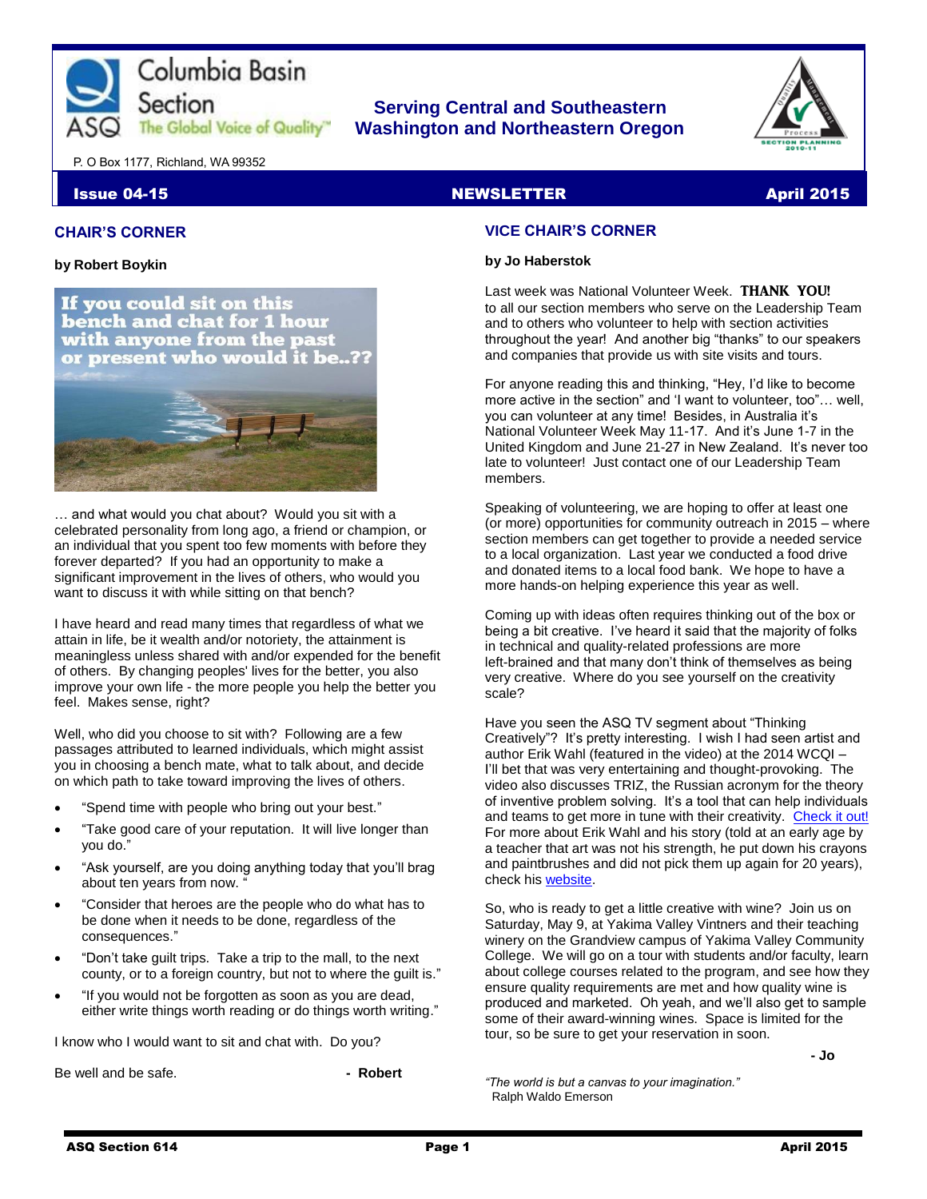

### **Serving Central and Southeastern The Global Voice of Quality | Washington and Northeastern Oregon**



P. O Box 1177, Richland, WA 99352

Section

#### **Issue 04-15** NEWSLETTER April 2015

#### **CHAIR'S CORNER**

**by Robert Boykin**



… and what would you chat about? Would you sit with a celebrated personality from long ago, a friend or champion, or an individual that you spent too few moments with before they forever departed? If you had an opportunity to make a significant improvement in the lives of others, who would you want to discuss it with while sitting on that bench?

I have heard and read many times that regardless of what we attain in life, be it wealth and/or notoriety, the attainment is meaningless unless shared with and/or expended for the benefit of others. By changing peoples' lives for the better, you also improve your own life - the more people you help the better you feel. Makes sense, right?

Well, who did you choose to sit with? Following are a few passages attributed to learned individuals, which might assist you in choosing a bench mate, what to talk about, and decide on which path to take toward improving the lives of others.

- "Spend time with people who bring out your best."
- "Take good care of your reputation. It will live longer than you do."
- "Ask yourself, are you doing anything today that you'll brag about ten years from now.
- "Consider that heroes are the people who do what has to be done when it needs to be done, regardless of the consequences."
- "Don't take guilt trips. Take a trip to the mall, to the next county, or to a foreign country, but not to where the guilt is."
- "If you would not be forgotten as soon as you are dead, either write things worth reading or do things worth writing."

I know who I would want to sit and chat with. Do you?

Be well and be safe. **- All and be safe.** All and be safe.

#### **VICE CHAIR'S CORNER**

#### **by Jo Haberstok**

Last week was National Volunteer Week. THANK YOU! to all our section members who serve on the Leadership Team and to others who volunteer to help with section activities throughout the year! And another big "thanks" to our speakers and companies that provide us with site visits and tours.

For anyone reading this and thinking, "Hey, I'd like to become more active in the section" and 'I want to volunteer, too"… well, you can volunteer at any time! Besides, in Australia it's National Volunteer Week May 11-17. And it's June 1-7 in the United Kingdom and June 21-27 in New Zealand. It's never too late to volunteer! Just contact one of our Leadership Team members.

Speaking of volunteering, we are hoping to offer at least one (or more) opportunities for community outreach in 2015 – where section members can get together to provide a needed service to a local organization. Last year we conducted a food drive and donated items to a local food bank. We hope to have a more hands-on helping experience this year as well.

Coming up with ideas often requires thinking out of the box or being a bit creative. I've heard it said that the majority of folks in technical and quality-related professions are more left-brained and that many don't think of themselves as being very creative. Where do you see yourself on the creativity scale?

Have you seen the ASQ TV segment about "Thinking Creatively"? It's pretty interesting. I wish I had seen artist and author Erik Wahl (featured in the video) at the 2014 WCQI – I'll bet that was very entertaining and thought-provoking. The video also discusses TRIZ, the Russian acronym for the theory of inventive problem solving. It's a tool that can help individuals and teams to get more in tune with their creativity. [Check it out!](http://videos.asq.org/thinking-creatively) For more about Erik Wahl and his story (told at an early age by a teacher that art was not his strength, he put down his crayons and paintbrushes and did not pick them up again for 20 years), check hi[s website.](http://theartofvision.com/)

So, who is ready to get a little creative with wine? Join us on Saturday, May 9, at Yakima Valley Vintners and their teaching winery on the Grandview campus of Yakima Valley Community College. We will go on a tour with students and/or faculty, learn about college courses related to the program, and see how they ensure quality requirements are met and how quality wine is produced and marketed. Oh yeah, and we'll also get to sample some of their award-winning wines. Space is limited for the tour, so be sure to get your reservation in soon.

 **- Jo**

*"The world is but a canvas to your imagination."* Ralph Waldo Emerson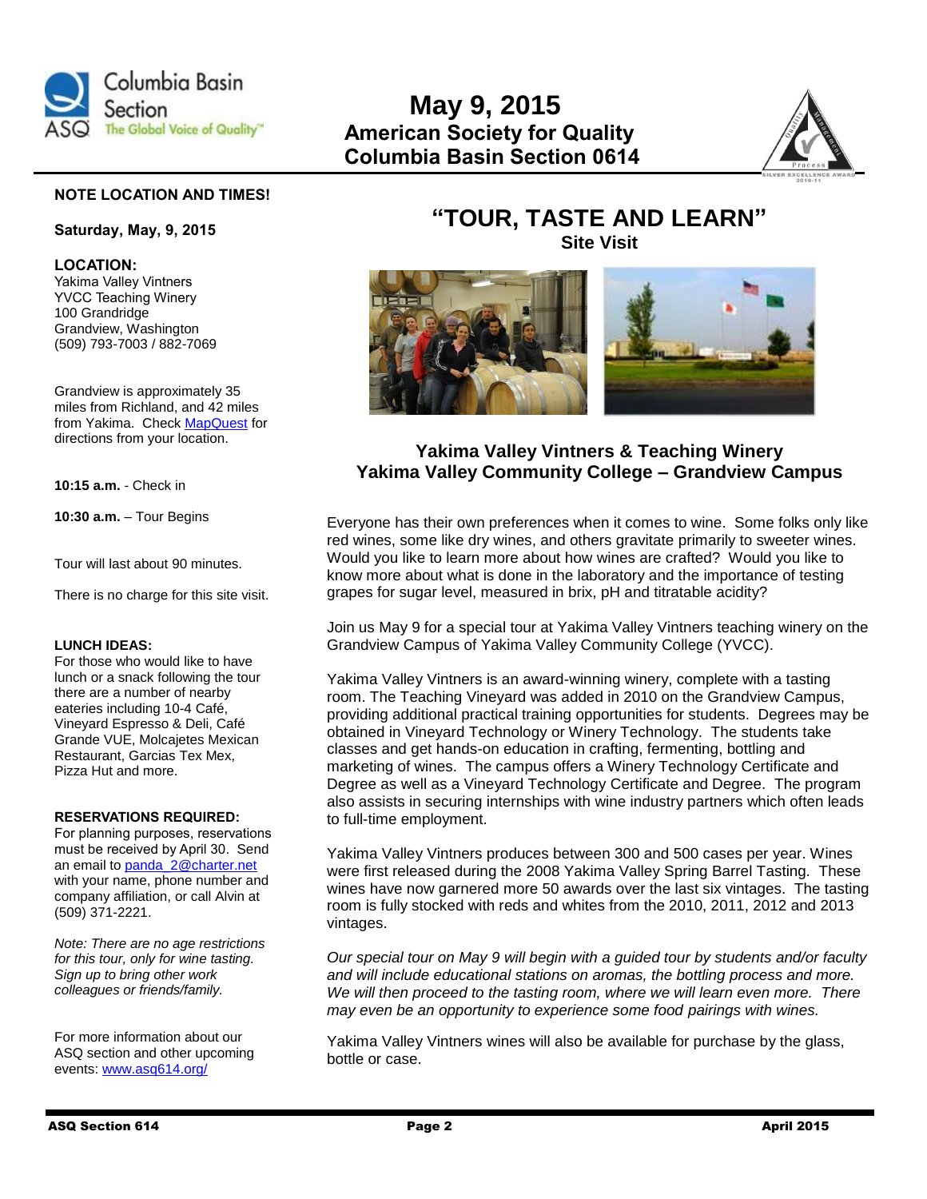

## **May 9, 2015 The Global Voice of Quality" American Society for Quality Columbia Basin Section 0614**



#### **NOTE LOCATION AND TIMES!**

#### **Saturday, May, 9, 2015**

**LOCATION:** Yakima Valley Vintners YVCC Teaching Winery 100 Grandridge Grandview, Washington (509) 793-7003 / 882-7069

Grandview is approximately 35 miles from Richland, and 42 miles from Yakima. Check [MapQuest](http://www.mapquest.com/) for directions from your location.

**10:15 a.m.** - Check in

**10:30 a.m.** – Tour Begins

Tour will last about 90 minutes.

There is no charge for this site visit.

#### **LUNCH IDEAS:**

For those who would like to have lunch or a snack following the tour there are a number of nearby eateries including 10-4 Café, Vineyard Espresso & Deli, Café Grande VUE, Molcajetes Mexican Restaurant, Garcias Tex Mex, Pizza Hut and more.

#### **RESERVATIONS REQUIRED:**

For planning purposes, reservations must be received by April 30. Send an email t[o panda\\_2@charter.net](mailto:panda_2@charter.net) with your name, phone number and company affiliation, or call Alvin at (509) 371-2221.

*Note: There are no age restrictions for this tour, only for wine tasting. Sign up to bring other work colleagues or friends/family.*

For more information about our ASQ section and other upcoming events[: www.asq614.org/](http://www.asq614.org/)

### **"TOUR, TASTE AND LEARN" Site Visit**



### **Yakima Valley Vintners & Teaching Winery Yakima Valley Community College – Grandview Campus**

Everyone has their own preferences when it comes to wine. Some folks only like red wines, some like dry wines, and others gravitate primarily to sweeter wines. Would you like to learn more about how wines are crafted? Would you like to know more about what is done in the laboratory and the importance of testing grapes for sugar level, measured in brix, pH and titratable acidity?

Join us May 9 for a special tour at Yakima Valley Vintners teaching winery on the Grandview Campus of Yakima Valley Community College (YVCC).

Yakima Valley Vintners is an award-winning winery, complete with a tasting room. The Teaching Vineyard was added in 2010 on the Grandview Campus, providing additional practical training opportunities for students. Degrees may be obtained in Vineyard Technology or Winery Technology. The students take classes and get hands-on education in crafting, fermenting, bottling and marketing of wines. The campus offers a Winery Technology Certificate and Degree as well as a Vineyard Technology Certificate and Degree. The program also assists in securing internships with wine industry partners which often leads to full-time employment.

Yakima Valley Vintners produces between 300 and 500 cases per year. Wines were first released during the 2008 Yakima Valley Spring Barrel Tasting. These wines have now garnered more 50 awards over the last six vintages. The tasting room is fully stocked with reds and whites from the 2010, 2011, 2012 and 2013 vintages.

*Our special tour on May 9 will begin with a guided tour by students and/or faculty and will include educational stations on aromas, the bottling process and more. We will then proceed to the tasting room, where we will learn even more. There may even be an opportunity to experience some food pairings with wines.*

Yakima Valley Vintners wines will also be available for purchase by the glass, bottle or case.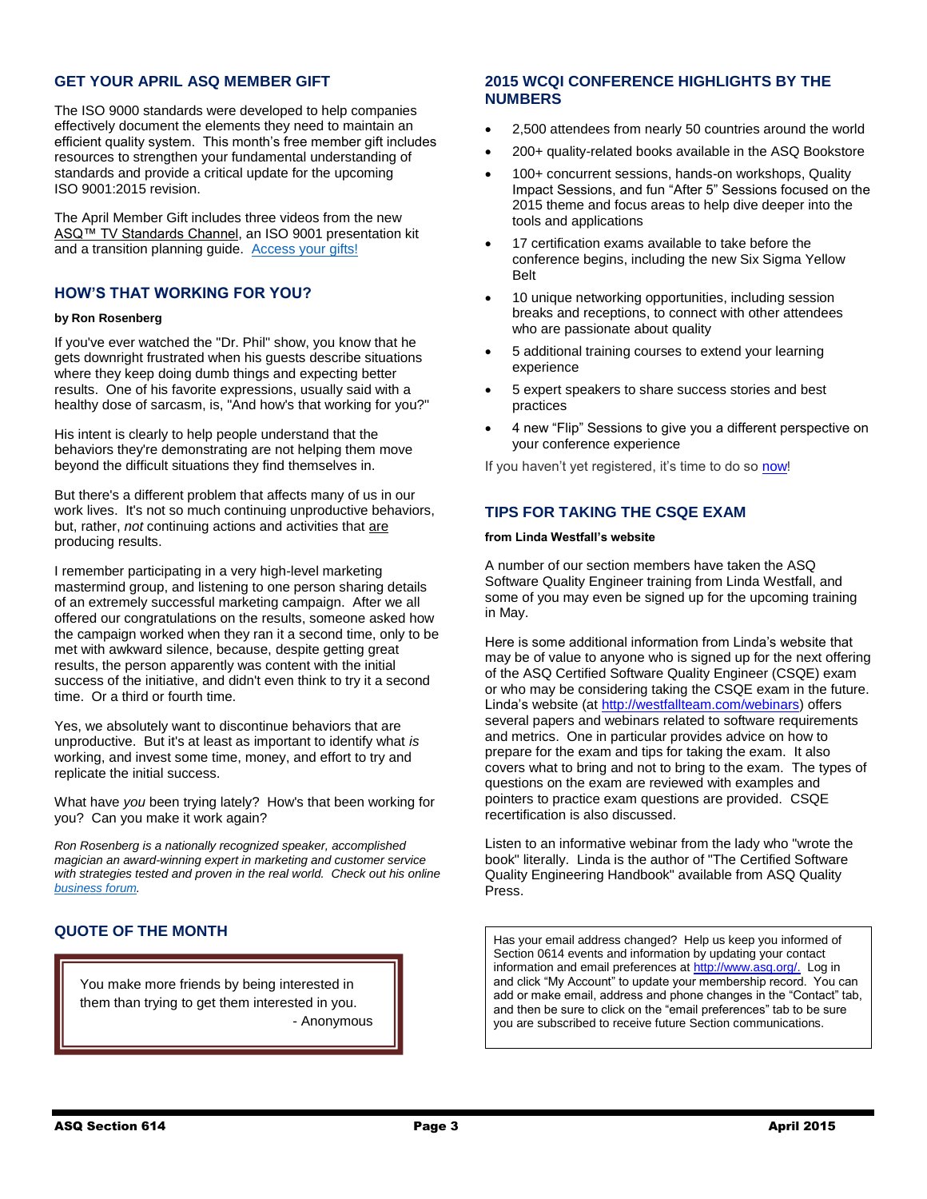#### **GET YOUR APRIL ASQ MEMBER GIFT**

The ISO 9000 standards were developed to help companies effectively document the elements they need to maintain an efficient quality system. This month's free member gift includes resources to strengthen your fundamental understanding of standards and provide a critical update for the upcoming ISO 9001:2015 revision.

The April Member Gift includes three videos from the new ASQ<sup>™</sup> TV Standards Channel, an ISO 9001 presentation kit and a transition planning guide. [Access your gifts!](http://asq.org/membership/members/gift/index.html)

#### **HOW'S THAT WORKING FOR YOU?**

#### **by Ron Rosenberg**

If you've ever watched the "Dr. Phil" show, you know that he gets downright frustrated when his guests describe situations where they keep doing dumb things and expecting better results. One of his favorite expressions, usually said with a healthy dose of sarcasm, is, "And how's that working for you?"

His intent is clearly to help people understand that the behaviors they're demonstrating are not helping them move beyond the difficult situations they find themselves in.

But there's a different problem that affects many of us in our work lives. It's not so much continuing unproductive behaviors, but, rather, *not* continuing actions and activities that are producing results.

I remember participating in a very high-level marketing mastermind group, and listening to one person sharing details of an extremely successful marketing campaign. After we all offered our congratulations on the results, someone asked how the campaign worked when they ran it a second time, only to be met with awkward silence, because, despite getting great results, the person apparently was content with the initial success of the initiative, and didn't even think to try it a second time. Or a third or fourth time.

Yes, we absolutely want to discontinue behaviors that are unproductive. But it's at least as important to identify what *is* working, and invest some time, money, and effort to try and replicate the initial success.

What have *you* been trying lately? How's that been working for you? Can you make it work again?

*Ron Rosenberg is a nationally recognized speaker, accomplished magician an award-winning expert in marketing and customer service with strategies tested and proven in the real world. Check out his online [business forum.](http://businessownersurvivalkit.com/)*

#### **QUOTE OF THE MONTH**

You make more friends by being interested in them than trying to get them interested in you. - Anonymous

#### **2015 WCQI CONFERENCE HIGHLIGHTS BY THE NUMBERS**

- 2,500 attendees from nearly 50 countries around the world
- 200+ quality-related books available in the ASQ Bookstore
- 100+ concurrent sessions, hands-on workshops, Quality Impact Sessions, and fun "After 5" Sessions focused on the 2015 theme and focus areas to help dive deeper into the tools and applications
- 17 certification exams available to take before the conference begins, including the new Six Sigma Yellow Belt
- 10 unique networking opportunities, including session breaks and receptions, to connect with other attendees who are passionate about quality
- 5 additional training courses to extend your learning experience
- 5 expert speakers to share success stories and best practices
- 4 new "Flip" Sessions to give you a different perspective on your conference experience

If you haven't yet registered, it's time to do so [now!](http://asq.org/wcqi/)

#### **TIPS FOR TAKING THE CSQE EXAM**

#### **from Linda Westfall's website**

A number of our section members have taken the ASQ Software Quality Engineer training from Linda Westfall, and some of you may even be signed up for the upcoming training in May.

Here is some additional information from Linda's website that may be of value to anyone who is signed up for the next offering of the ASQ Certified Software Quality Engineer (CSQE) exam or who may be considering taking the CSQE exam in the future. Linda's website (a[t http://westfallteam.com/webinars\)](http://westfallteam.com/webinars) offers several papers and webinars related to software requirements and metrics. One in particular provides advice on how to prepare for the exam and tips for taking the exam. It also covers what to bring and not to bring to the exam. The types of questions on the exam are reviewed with examples and pointers to practice exam questions are provided. CSQE recertification is also discussed.

Listen to an informative webinar from the lady who "wrote the book" literally. Linda is the author of "The Certified Software Quality Engineering Handbook" available from ASQ Quality Press.

Has your email address changed? Help us keep you informed of Section 0614 events and information by updating your contact information and email preferences at [http://www.asq.org/.](http://www.asq.org/) Log in and click "My Account" to update your membership record. You can add or make email, address and phone changes in the "Contact" tab, and then be sure to click on the "email preferences" tab to be sure you are subscribed to receive future Section communications.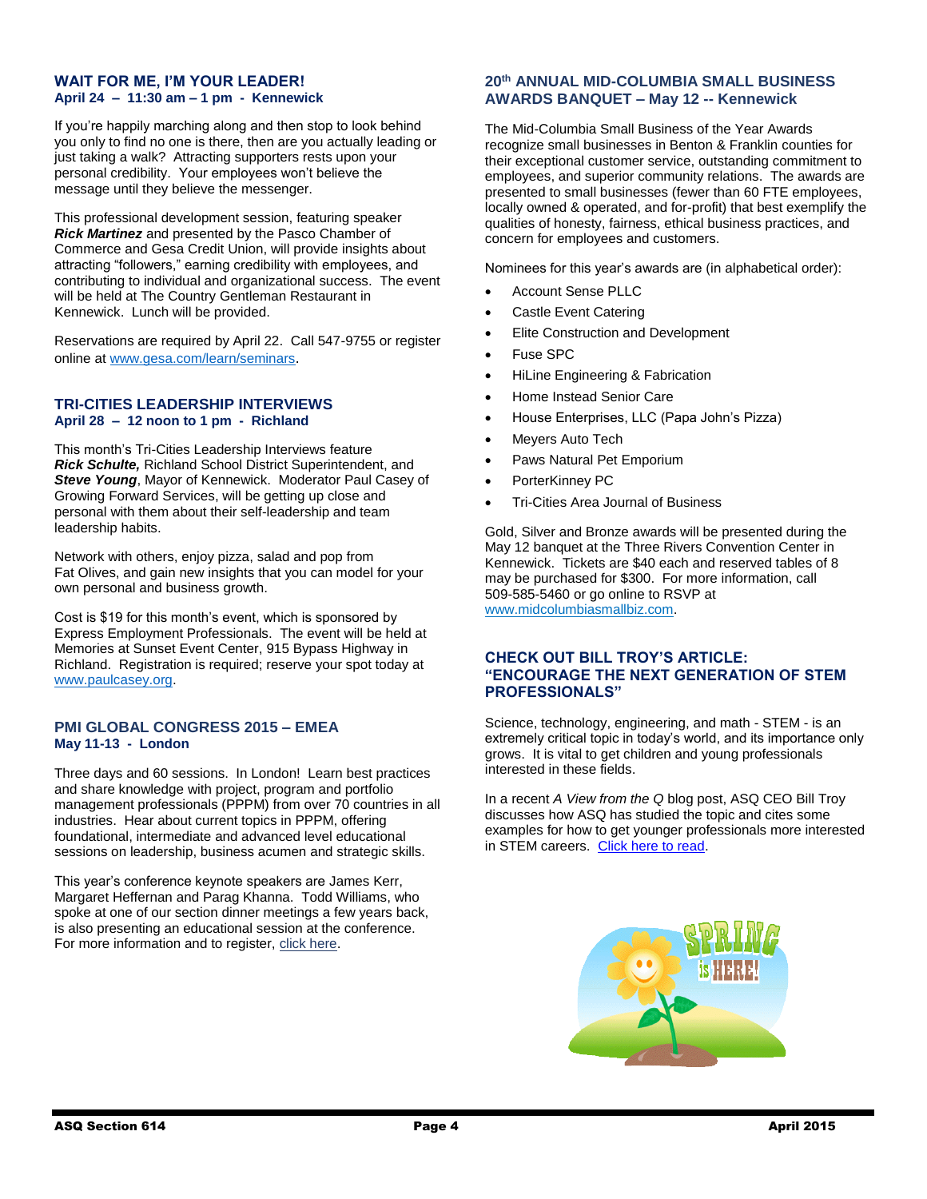#### **WAIT FOR ME, I'M YOUR LEADER! April 24 – 11:30 am – 1 pm - Kennewick**

If you're happily marching along and then stop to look behind you only to find no one is there, then are you actually leading or just taking a walk? Attracting supporters rests upon your personal credibility. Your employees won't believe the message until they believe the messenger.

This professional development session, featuring speaker *Rick Martinez* and presented by the Pasco Chamber of Commerce and Gesa Credit Union, will provide insights about attracting "followers," earning credibility with employees, and contributing to individual and organizational success. The event will be held at The Country Gentleman Restaurant in Kennewick. Lunch will be provided.

Reservations are required by April 22. Call 547-9755 or register online a[t www.gesa.com/learn/seminars](http://www.gesa.com/learn/seminars).

#### **TRI-CITIES LEADERSHIP INTERVIEWS April 28 – 12 noon to 1 pm - Richland**

This month's Tri-Cities Leadership Interviews feature *Rick Schulte,* Richland School District Superintendent, and *Steve Young*, Mayor of Kennewick. Moderator Paul Casey of Growing Forward Services, will be getting up close and personal with them about their self-leadership and team leadership habits.

Network with others, enjoy pizza, salad and pop from Fat Olives, and gain new insights that you can model for your own personal and business growth.

Cost is \$19 for this month's event, which is sponsored by Express Employment Professionals. The event will be held at Memories at Sunset Event Center, 915 Bypass Highway in Richland. Registration is required; reserve your spot today at [www.paulcasey.org.](http://r20.rs6.net/tn.jsp?f=001oLDb0PvYGs5YHsH2dcbCs4NMxfbW52vWM6iwBKG0zXhqQYUCcLrPnQL5UpzWkvL6_UeNDV1pVX4pCK-EQtbcWhYDlVvrN6LMkUDSKH2gMmxQpokOAWuczlsF7mLrD9DAiBTWy2wmG1wAYLLYWf2-5Nu25rh9NzGyGDEj8xAih10odzEbl_l0zIFnKRiZhRVK1UyVeStFNn-0a2ZXMOBVy7HtCDUI3SlCHOq-9STSrDlnREyZgj3u8uSSpDNcSOTw4YZvBOzJGocvI92vGbQD4L19PA51uEWo5MALpKV2sXYNpcY261K6MCKgPHZBlZkQechZy0ZYDLs=&c=9qGqYUKDScJfBffh5hFXQon73TjDBmnUoodL4rZAe0odcrUWjh0EqA==&ch=j5lgUXRAJc60mY2Jz9RnrC-Zs35BzuJdekAVA79gka2EAOXk3L2dwQ==)

#### **PMI GLOBAL CONGRESS 2015 – EMEA May 11-13 - London**

Three days and 60 sessions. In London! Learn best practices and share knowledge with project, program and portfolio management professionals (PPPM) from over 70 countries in all industries. Hear about current topics in PPPM, offering foundational, intermediate and advanced level educational sessions on leadership, business acumen and strategic skills.

This year's conference keynote speakers are James Kerr, Margaret Heffernan and Parag Khanna. Todd Williams, who spoke at one of our section dinner meetings a few years back, is also presenting an educational session at the conference. For more information and to register, [click here.](http://congresses.pmi.org/emea2015)

#### **20th ANNUAL MID-COLUMBIA SMALL BUSINESS AWARDS BANQUET – May 12 -- Kennewick**

The Mid-Columbia Small Business of the Year Awards recognize small businesses in Benton & Franklin counties for their exceptional customer service, outstanding commitment to employees, and superior community relations. The awards are presented to small businesses (fewer than 60 FTE employees, locally owned & operated, and for-profit) that best exemplify the qualities of honesty, fairness, ethical business practices, and concern for employees and customers.

Nominees for this year's awards are (in alphabetical order):

- Account Sense PLLC
- Castle Event Catering
- Elite Construction and Development
- Fuse SPC
- HiLine Engineering & Fabrication
- Home Instead Senior Care
- House Enterprises, LLC (Papa John's Pizza)
- Meyers Auto Tech
- Paws Natural Pet Emporium
- PorterKinney PC
- Tri-Cities Area Journal of Business

Gold, Silver and Bronze awards will be presented during the May 12 banquet at the Three Rivers Convention Center in Kennewick. Tickets are \$40 each and reserved tables of 8 may be purchased for \$300. For more information, call 509-585-5460 or go online to RSVP at [www.midcolumbiasmallbiz.com.](http://www.midcolumbiasmallbiz.com/)

#### **CHECK OUT BILL TROY'S ARTICLE: "ENCOURAGE THE NEXT GENERATION OF STEM PROFESSIONALS"**

Science, technology, engineering, and math - STEM - is an extremely critical topic in today's world, and its importance only grows. It is vital to get children and young professionals interested in these fields.

In a recent *A View from the Q* blog post, ASQ CEO Bill Troy discusses how ASQ has studied the topic and cites some examples for how to get younger professionals more interested in STEM careers. [Click here to read.](http://asq.org/blog/2015/03/encourage-the-next-generation-of-stem-professionals/)

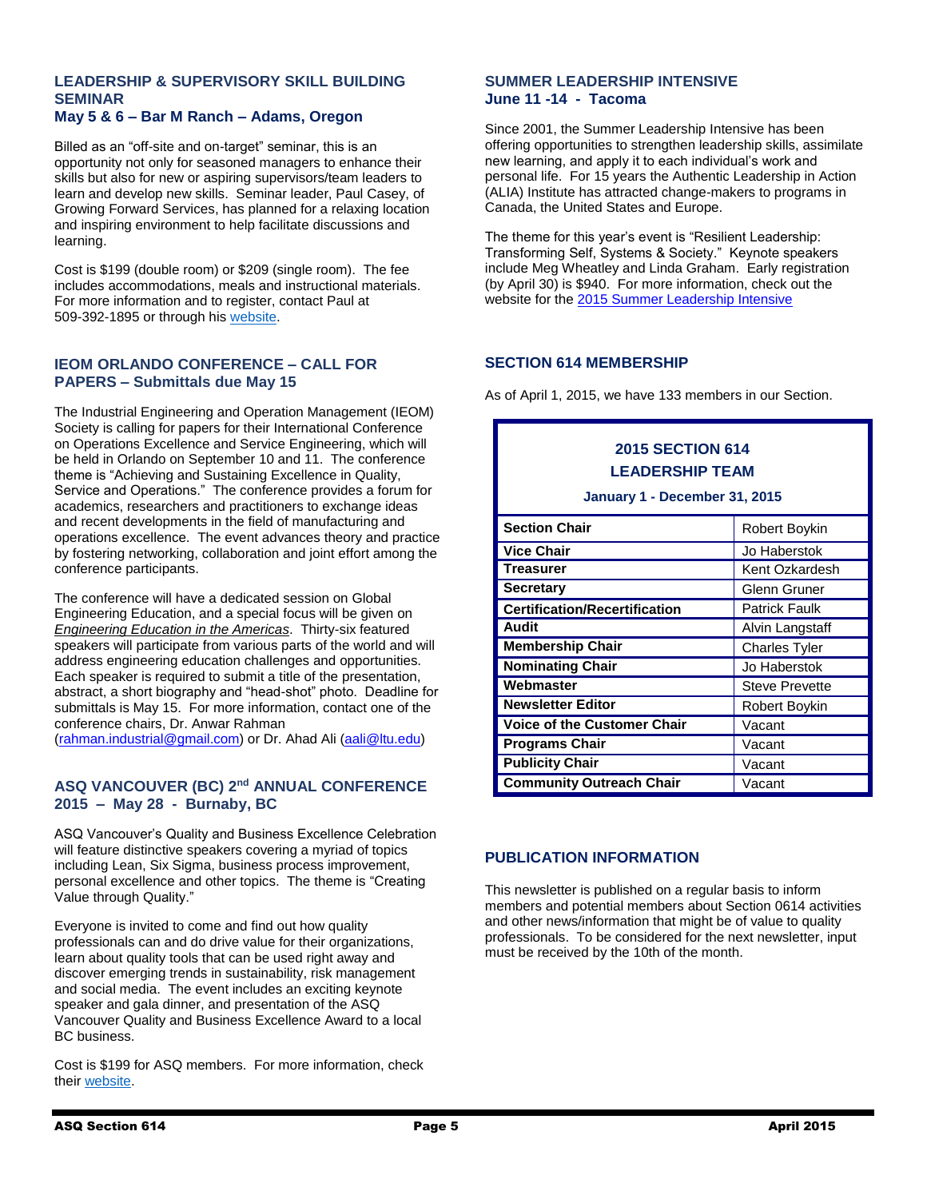#### **LEADERSHIP & SUPERVISORY SKILL BUILDING SEMINAR May 5 & 6 – Bar M Ranch – Adams, Oregon**

# Billed as an "off-site and on-target" seminar, this is an

opportunity not only for seasoned managers to enhance their skills but also for new or aspiring supervisors/team leaders to learn and develop new skills. Seminar leader, Paul Casey, of Growing Forward Services, has planned for a relaxing location and inspiring environment to help facilitate discussions and learning.

Cost is \$199 (double room) or \$209 (single room). The fee includes accommodations, meals and instructional materials. For more information and to register, contact Paul at 509-392-1895 or through his [website.](http://www.paulcasey.org/)

#### **IEOM ORLANDO CONFERENCE – CALL FOR PAPERS – Submittals due May 15**

The Industrial Engineering and Operation Management (IEOM) Society is calling for papers for their International Conference on Operations Excellence and Service Engineering, which will be held in Orlando on September 10 and 11. The conference theme is "Achieving and Sustaining Excellence in Quality, Service and Operations." The conference provides a forum for academics, researchers and practitioners to exchange ideas and recent developments in the field of manufacturing and operations excellence. The event advances theory and practice by fostering networking, collaboration and joint effort among the conference participants.

The conference will have a dedicated session on Global Engineering Education, and a special focus will be given on *Engineering Education in the Americas*. Thirty-six featured speakers will participate from various parts of the world and will address engineering education challenges and opportunities. Each speaker is required to submit a title of the presentation, abstract, a short biography and "head-shot" photo. Deadline for submittals is May 15. For more information, contact one of the conference chairs, Dr. Anwar Rahman

[\(rahman.industrial@gmail.com\)](mailto:rahman.industrial@gmail.com) or Dr. Ahad Ali [\(aali@ltu.edu\)](mailto:aali@ltu.edu)

#### **ASQ VANCOUVER (BC) 2nd ANNUAL CONFERENCE 2015 – May 28 - Burnaby, BC**

ASQ Vancouver's Quality and Business Excellence Celebration will feature distinctive speakers covering a myriad of topics including Lean, Six Sigma, business process improvement, personal excellence and other topics. The theme is "Creating Value through Quality."

Everyone is invited to come and find out how quality professionals can and do drive value for their organizations, learn about quality tools that can be used right away and discover emerging trends in sustainability, risk management and social media. The event includes an exciting keynote speaker and gala dinner, and presentation of the ASQ Vancouver Quality and Business Excellence Award to a local BC business.

Cost is \$199 for ASQ members. For more information, check their [website.](http://pw21.startlogic.com/wp/asq-vancouver-2nd-annual-conference-2015-creating-value-through-quality/)

#### **SUMMER LEADERSHIP INTENSIVE June 11 -14 - Tacoma**

Since 2001, the Summer Leadership Intensive has been offering opportunities to strengthen leadership skills, assimilate new learning, and apply it to each individual's work and personal life. For 15 years the Authentic Leadership in Action (ALIA) Institute has attracted change-makers to programs in Canada, the United States and Europe.

The theme for this year's event is "Resilient Leadership: Transforming Self, Systems & Society." Keynote speakers include Meg Wheatley and Linda Graham. Early registration (by April 30) is \$940. For more information, check out the website for th[e 2015 Summer Leadership Intensive](http://aliainstitute.org/summer-2015/) 

#### **SECTION 614 MEMBERSHIP**

As of April 1, 2015, we have 133 members in our Section.

#### **2015 SECTION 614 LEADERSHIP TEAM**

**January 1 - December 31, 2015**

| <b>Section Chair</b>                 | Robert Boykin         |
|--------------------------------------|-----------------------|
| <b>Vice Chair</b>                    | Jo Haberstok          |
| <b>Treasurer</b>                     | Kent Ozkardesh        |
| <b>Secretary</b>                     | <b>Glenn Gruner</b>   |
| <b>Certification/Recertification</b> | <b>Patrick Faulk</b>  |
| Audit                                | Alvin Langstaff       |
| <b>Membership Chair</b>              | <b>Charles Tyler</b>  |
| <b>Nominating Chair</b>              | Jo Haberstok          |
| Webmaster                            | <b>Steve Prevette</b> |
| <b>Newsletter Editor</b>             | Robert Boykin         |
| <b>Voice of the Customer Chair</b>   | Vacant                |
| <b>Programs Chair</b>                | Vacant                |
| <b>Publicity Chair</b>               | Vacant                |
| <b>Community Outreach Chair</b>      | Vacant                |

#### **PUBLICATION INFORMATION**

This newsletter is published on a regular basis to inform members and potential members about Section 0614 activities and other news/information that might be of value to quality professionals. To be considered for the next newsletter, input must be received by the 10th of the month.